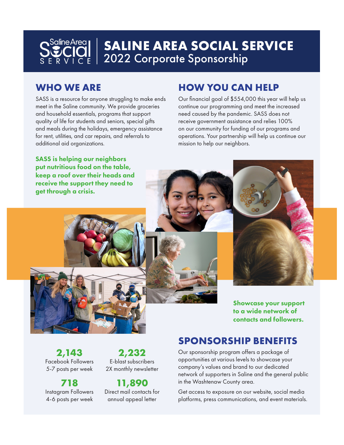### Saline Area <sub>l</sub> **SALINE AREA SOCIAL SERVICE** 2022 Corporate Sponsorship

## **WHO WE ARE**

SASS is a resource for anyone struggling to make ends meet in the Saline community. We provide groceries and household essentials, programs that support quality of life for students and seniors, special gifts and meals during the holidays, emergency assistance for rent, utilities, and car repairs, and referrals to additional aid organizations.

# **HOW YOU CAN HELP**

Our financial goal of \$554,000 this year will help us continue our programming and meet the increased need caused by the pandemic. SASS does not receive government assistance and relies 100% on our community for funding of our programs and operations. Your partnership will help us continue our mission to help our neighbors.

SASS is helping our neighbors put nutritious food on the table, keep a roof over their heads and receive the support they need to get through a crisis.





Showcase your support to a wide network of contacts and followers.

**2,143** Facebook Followers 5-7 posts per week

**718** Instagram Followers 4-6 posts per week

**2,232**  E-blast subscribers 2X monthly newsletter

**11,890** Direct mail contacts for annual appeal letter

# **SPONSORSHIP BENEFITS**

Our sponsorship program offers a package of opportunities at various levels to showcase your company's values and brand to our dedicated network of supporters in Saline and the general public in the Washtenaw County area.

Get access to exposure on our website, social media platforms, press communications, and event materials.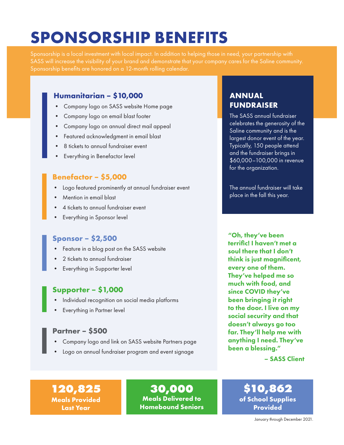# **SPONSORSHIP BENEFITS**

Sponsorship is a local investment with local impact. In addition to helping those in need, your partnership with Sponsorship benefits are honored on a 12-month rolling calendar.

#### **Humanitarian – \$10,000**

- Company logo on SASS website Home page
- Company logo on email blast footer
- Company logo on annual direct mail appeal
- Featured acknowledgment in email blast
- 8 tickets to annual fundraiser event
- **Everything in Benefactor level**

#### **Benefactor – \$5,000**

- Logo featured prominently at annual fundraiser event
- Mention in email blast
- 4 tickets to annual fundraiser event
- Everything in Sponsor level

#### **Sponsor – \$2,500**

- Feature in a blog post on the SASS website
- 2 tickets to annual fundraiser
- Everything in Supporter level

#### **Supporter – \$1,000**

- Individual recognition on social media platforms
- Everything in Partner level

#### **Partner – \$500**

- Company logo and link on SASS website Partners page
- Logo on annual fundraiser program and event signage

#### **ANNUAL FUNDRAISER**

The SASS annual fundraiser celebrates the generosity of the Saline community and is the largest donor event of the year. Typically, 150 people attend and the fundraiser brings in \$60,000–100,000 in revenue for the organization.

The annual fundraiser will take place in the fall this year.

"Oh, they've been terrific! I haven't met a soul there that I don't think is just magnificent, every one of them. They've helped me so much with food, and since COVID they've been bringing it right to the door. I live on my social security and that doesn't always go too far. They'll help me with anything I need. They've been a blessing."

– SASS Client

#### **120,825 30,000 Meals Provided Last Year**

# **Meals Delivered to**

**Homebound Seniors**

**\$10,862 of School Supplies Provided**